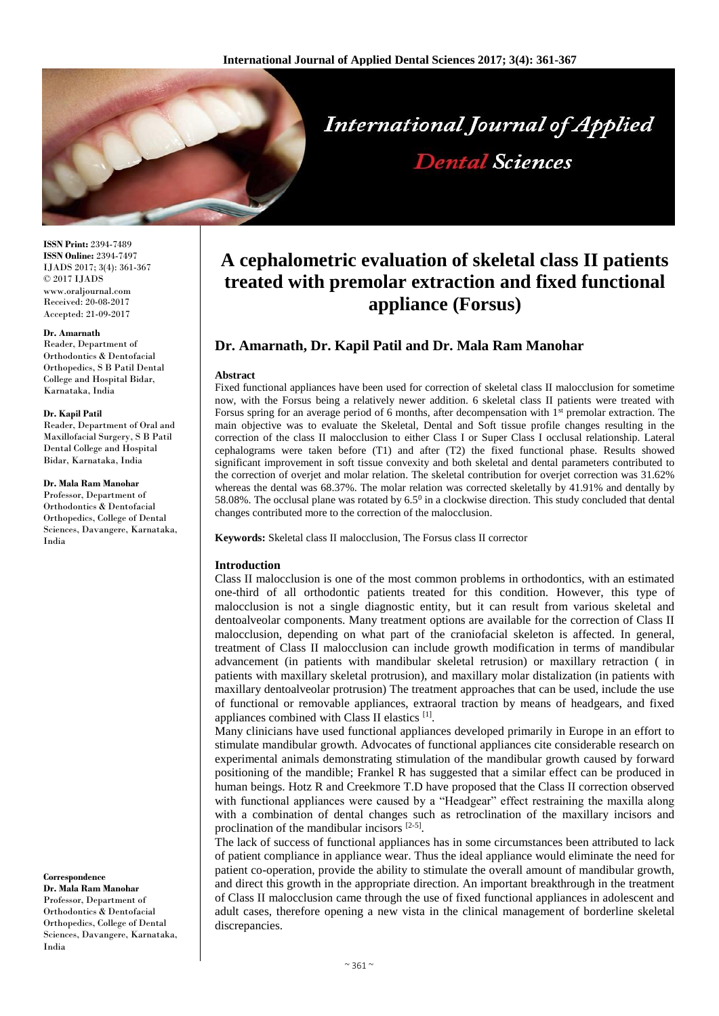

**ISSN Print:** 2394-7489 **ISSN Online:** 2394-7497 IJADS 2017; 3(4): 361-367 © 2017 IJADS www.oraljournal.com Received: 20-08-2017 Accepted: 21-09-2017

#### **Dr. Amarnath**

Reader, Department of Orthodontics & Dentofacial Orthopedics, S B Patil Dental College and Hospital Bidar, Karnataka, India

#### **Dr. Kapil Patil**

Reader, Department of Oral and Maxillofacial Surgery, S B Patil Dental College and Hospital Bidar, Karnataka, India

#### **Dr. Mala Ram Manohar**

Professor, Department of Orthodontics & Dentofacial Orthopedics, College of Dental Sciences, Davangere, Karnataka, India

**Correspondence Dr. Mala Ram Manohar** Professor, Department of Orthodontics & Dentofacial Orthopedics, College of Dental Sciences, Davangere, Karnataka, India

# **A cephalometric evaluation of skeletal class II patients treated with premolar extraction and fixed functional appliance (Forsus)**

# **Dr. Amarnath, Dr. Kapil Patil and Dr. Mala Ram Manohar**

#### **Abstract**

Fixed functional appliances have been used for correction of skeletal class II malocclusion for sometime now, with the Forsus being a relatively newer addition. 6 skeletal class II patients were treated with Forsus spring for an average period of 6 months, after decompensation with  $1<sup>st</sup>$  premolar extraction. The main objective was to evaluate the Skeletal, Dental and Soft tissue profile changes resulting in the correction of the class II malocclusion to either Class I or Super Class I occlusal relationship. Lateral cephalograms were taken before (T1) and after (T2) the fixed functional phase. Results showed significant improvement in soft tissue convexity and both skeletal and dental parameters contributed to the correction of overjet and molar relation. The skeletal contribution for overjet correction was 31.62% whereas the dental was 68.37%. The molar relation was corrected skeletally by 41.91% and dentally by 58.08%. The occlusal plane was rotated by  $6.5<sup>0</sup>$  in a clockwise direction. This study concluded that dental changes contributed more to the correction of the malocclusion.

**Keywords:** Skeletal class II malocclusion, The Forsus class II corrector

#### **Introduction**

Class II malocclusion is one of the most common problems in orthodontics, with an estimated one-third of all orthodontic patients treated for this condition. However, this type of malocclusion is not a single diagnostic entity, but it can result from various skeletal and dentoalveolar components. Many treatment options are available for the correction of Class II malocclusion, depending on what part of the craniofacial skeleton is affected. In general, treatment of Class II malocclusion can include growth modification in terms of mandibular advancement (in patients with mandibular skeletal retrusion) or maxillary retraction ( in patients with maxillary skeletal protrusion), and maxillary molar distalization (in patients with maxillary dentoalveolar protrusion) The treatment approaches that can be used, include the use of functional or removable appliances, extraoral traction by means of headgears, and fixed appliances combined with Class II elastics [1].

Many clinicians have used functional appliances developed primarily in Europe in an effort to stimulate mandibular growth. Advocates of functional appliances cite considerable research on experimental animals demonstrating stimulation of the mandibular growth caused by forward positioning of the mandible; Frankel R has suggested that a similar effect can be produced in human beings. Hotz R and Creekmore T.D have proposed that the Class II correction observed with functional appliances were caused by a "Headgear" effect restraining the maxilla along with a combination of dental changes such as retroclination of the maxillary incisors and proclination of the mandibular incisors [2-5].

The lack of success of functional appliances has in some circumstances been attributed to lack of patient compliance in appliance wear. Thus the ideal appliance would eliminate the need for patient co-operation, provide the ability to stimulate the overall amount of mandibular growth, and direct this growth in the appropriate direction. An important breakthrough in the treatment of Class II malocclusion came through the use of fixed functional appliances in adolescent and adult cases, therefore opening a new vista in the clinical management of borderline skeletal discrepancies.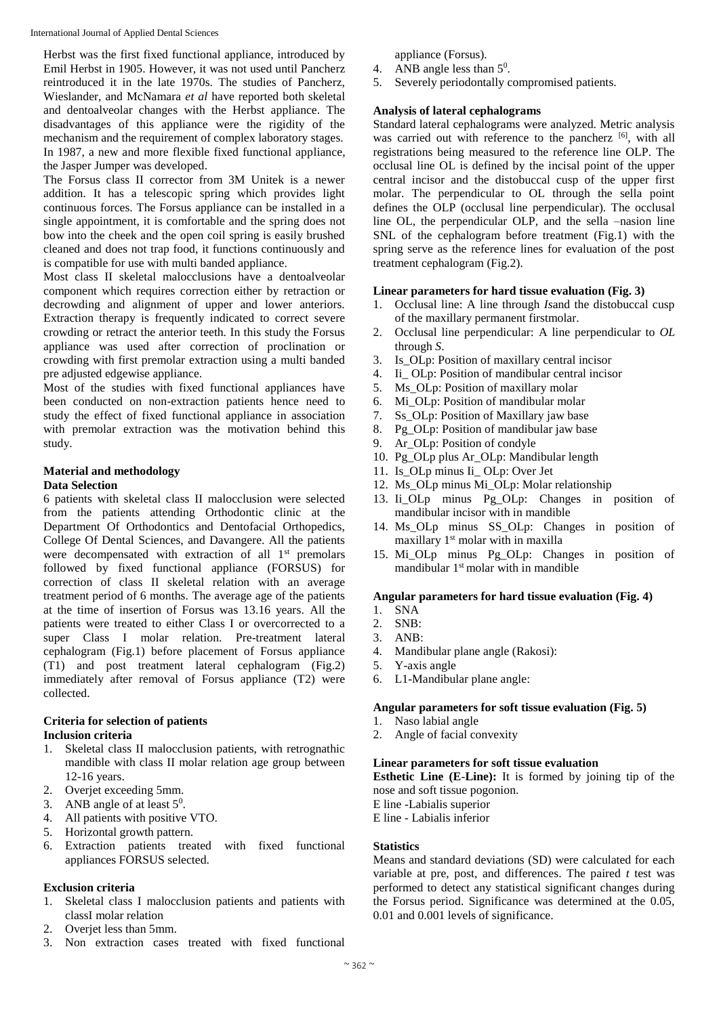Herbst was the first fixed functional appliance, introduced by Emil Herbst in 1905. However, it was not used until Pancherz reintroduced it in the late 1970s. The studies of Pancherz, Wieslander, and McNamara *et al* have reported both skeletal and dentoalveolar changes with the Herbst appliance. The disadvantages of this appliance were the rigidity of the mechanism and the requirement of complex laboratory stages. In 1987, a new and more flexible fixed functional appliance, the Jasper Jumper was developed.

The Forsus class II corrector from 3M Unitek is a newer addition. It has a telescopic spring which provides light continuous forces. The Forsus appliance can be installed in a single appointment, it is comfortable and the spring does not bow into the cheek and the open coil spring is easily brushed cleaned and does not trap food, it functions continuously and is compatible for use with multi banded appliance.

Most class II skeletal malocclusions have a dentoalveolar component which requires correction either by retraction or decrowding and alignment of upper and lower anteriors. Extraction therapy is frequently indicated to correct severe crowding or retract the anterior teeth. In this study the Forsus appliance was used after correction of proclination or crowding with first premolar extraction using a multi banded pre adjusted edgewise appliance.

Most of the studies with fixed functional appliances have been conducted on non-extraction patients hence need to study the effect of fixed functional appliance in association with premolar extraction was the motivation behind this study.

# **Material and methodology**

## **Data Selection**

6 patients with skeletal class II malocclusion were selected from the patients attending Orthodontic clinic at the Department Of Orthodontics and Dentofacial Orthopedics, College Of Dental Sciences, and Davangere. All the patients were decompensated with extraction of all 1<sup>st</sup> premolars followed by fixed functional appliance (FORSUS) for correction of class II skeletal relation with an average treatment period of 6 months. The average age of the patients at the time of insertion of Forsus was 13.16 years. All the patients were treated to either Class I or overcorrected to a super Class I molar relation. Pre-treatment lateral cephalogram (Fig.1) before placement of Forsus appliance (T1) and post treatment lateral cephalogram (Fig.2) immediately after removal of Forsus appliance (T2) were collected.

#### **Criteria for selection of patients Inclusion criteria**

- 1. Skeletal class II malocclusion patients, with retrognathic mandible with class II molar relation age group between 12-16 years.
- 2. Overjet exceeding 5mm.
- 3. ANB angle of at least  $5^0$ .
- 4. All patients with positive VTO.<br>5. Horizontal growth pattern.
- 5. Horizontal growth pattern.
- 6. Extraction patients treated with fixed functional appliances FORSUS selected.

# **Exclusion criteria**

- 1. Skeletal class I malocclusion patients and patients with classI molar relation
- 2. Overjet less than 5mm.
- 3. Non extraction cases treated with fixed functional

appliance (Forsus).

- 4. ANB angle less than  $5^0$ .
- 5. Severely periodontally compromised patients.

## **Analysis of lateral cephalograms**

Standard lateral cephalograms were analyzed. Metric analysis was carried out with reference to the pancherz [6], with all registrations being measured to the reference line OLP. The occlusal line OL is defined by the incisal point of the upper central incisor and the distobuccal cusp of the upper first molar. The perpendicular to OL through the sella point defines the OLP (occlusal line perpendicular). The occlusal line OL, the perpendicular OLP, and the sella –nasion line SNL of the cephalogram before treatment (Fig.1) with the spring serve as the reference lines for evaluation of the post treatment cephalogram (Fig.2).

## **Linear parameters for hard tissue evaluation (Fig. 3)**

- 1. Occlusal line: A line through *Is*and the distobuccal cusp of the maxillary permanent firstmolar.
- 2. Occlusal line perpendicular: A line perpendicular to *OL*  through *S*.
- 3. Is\_OLp: Position of maxillary central incisor
- 4. Ii\_ OLp: Position of mandibular central incisor
- 5. Ms\_OLp: Position of maxillary molar
- 6. Mi\_OLp: Position of mandibular molar
- 7. Ss\_OLp: Position of Maxillary jaw base
- 8. Pg\_OLp: Position of mandibular jaw base
- 9. Ar\_OLp: Position of condyle
- 10. Pg\_OLp plus Ar\_OLp: Mandibular length
- 11. Is OLp minus Ii OLp: Over Jet
- 12. Ms\_OLp minus Mi\_OLp: Molar relationship
- 13. Ii OLp minus Pg OLp: Changes in position of mandibular incisor with in mandible
- 14. Ms\_OLp minus SS\_OLp: Changes in position of maxillary 1<sup>st</sup> molar with in maxilla
- 15. Mi\_OLp minus Pg\_OLp: Changes in position of mandibular  $1<sup>st</sup>$  molar with in mandible

## **Angular parameters for hard tissue evaluation (Fig. 4)**

- 1. SNA
- 2. SNB:
- 3. ANB:
- 4. Mandibular plane angle (Rakosi):
- 5. Y-axis angle
- 6. L1-Mandibular plane angle:

## **Angular parameters for soft tissue evaluation (Fig. 5)**

- 1. Naso labial angle
- 2. Angle of facial convexity

## **Linear parameters for soft tissue evaluation**

**Esthetic Line (E**-**Line):** It is formed by joining tip of the nose and soft tissue pogonion.

E line -Labialis superior

E line - Labialis inferior

## **Statistics**

Means and standard deviations (SD) were calculated for each variable at pre, post, and differences. The paired *t* test was performed to detect any statistical significant changes during the Forsus period. Significance was determined at the 0.05, 0.01 and 0.001 levels of significance.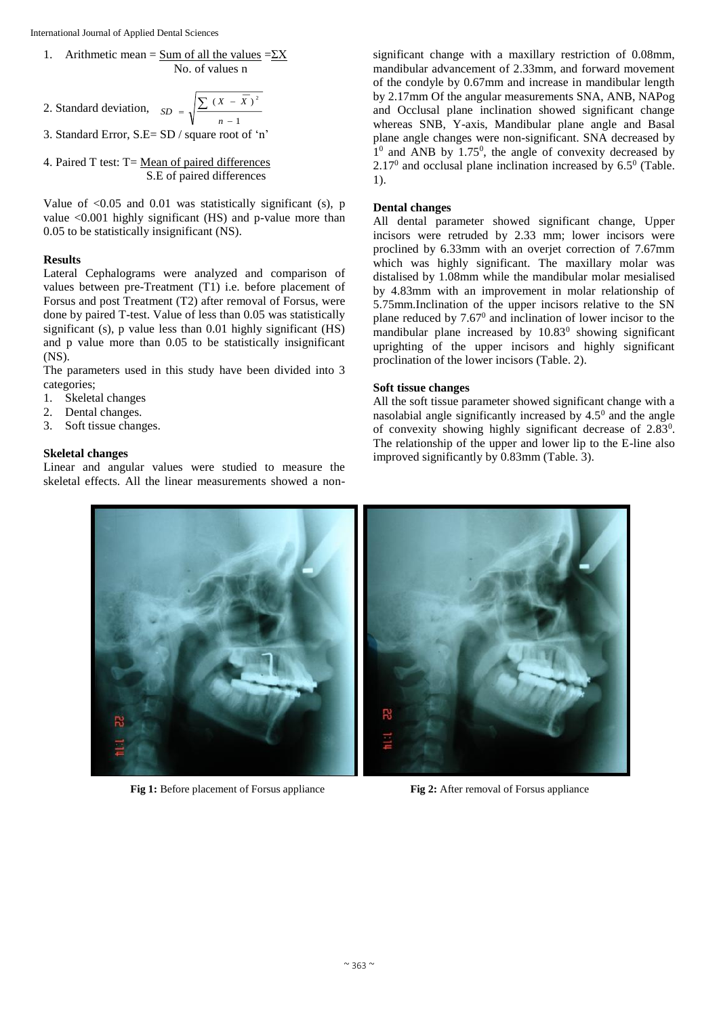1. Arithmetic mean = 
$$
\frac{\text{Sum of all the values}}{\text{No. of values n}}
$$
 =  $\frac{\Sigma X}{\Sigma}$ 

2. Standard deviation, 
$$
SD = \sqrt{\frac{\sum (X - \overline{X})^2}{n-1}}
$$

3. Standard Error, S.E= SD / square root of 'n'

4. Paired  $T$  test:  $T = Mean of paired differences$ S.E of paired differences

Value of  $\leq 0.05$  and 0.01 was statistically significant (s), p value <0.001 highly significant (HS) and p-value more than 0.05 to be statistically insignificant (NS).

#### **Results**

Lateral Cephalograms were analyzed and comparison of values between pre-Treatment (T1) i.e. before placement of Forsus and post Treatment (T2) after removal of Forsus, were done by paired T-test. Value of less than 0.05 was statistically significant (s), p value less than 0.01 highly significant (HS) and p value more than 0.05 to be statistically insignificant (NS).

The parameters used in this study have been divided into 3 categories;

- 1. Skeletal changes
- 2. Dental changes.
- 3. Soft tissue changes.

#### **Skeletal changes**

Linear and angular values were studied to measure the skeletal effects. All the linear measurements showed a nonsignificant change with a maxillary restriction of 0.08mm, mandibular advancement of 2.33mm, and forward movement of the condyle by 0.67mm and increase in mandibular length by 2.17mm Of the angular measurements SNA, ANB, NAPog and Occlusal plane inclination showed significant change whereas SNB, Y-axis, Mandibular plane angle and Basal plane angle changes were non-significant. SNA decreased by  $1<sup>0</sup>$  and ANB by 1.75<sup>0</sup>, the angle of convexity decreased by  $2.17<sup>0</sup>$  and occlusal plane inclination increased by 6.5<sup>0</sup> (Table. 1).

#### **Dental changes**

All dental parameter showed significant change, Upper incisors were retruded by 2.33 mm; lower incisors were proclined by 6.33mm with an overjet correction of 7.67mm which was highly significant. The maxillary molar was distalised by 1.08mm while the mandibular molar mesialised by 4.83mm with an improvement in molar relationship of 5.75mm.Inclination of the upper incisors relative to the SN plane reduced by  $7.67<sup>0</sup>$  and inclination of lower incisor to the mandibular plane increased by  $10.83<sup>0</sup>$  showing significant uprighting of the upper incisors and highly significant proclination of the lower incisors (Table. 2).

#### **Soft tissue changes**

All the soft tissue parameter showed significant change with a nasolabial angle significantly increased by  $4.5<sup>0</sup>$  and the angle of convexity showing highly significant decrease of 2.83<sup>0</sup>. The relationship of the upper and lower lip to the E-line also improved significantly by 0.83mm (Table. 3).



**Fig 1:** Before placement of Forsus appliance **Fig 2:** After removal of Forsus appliance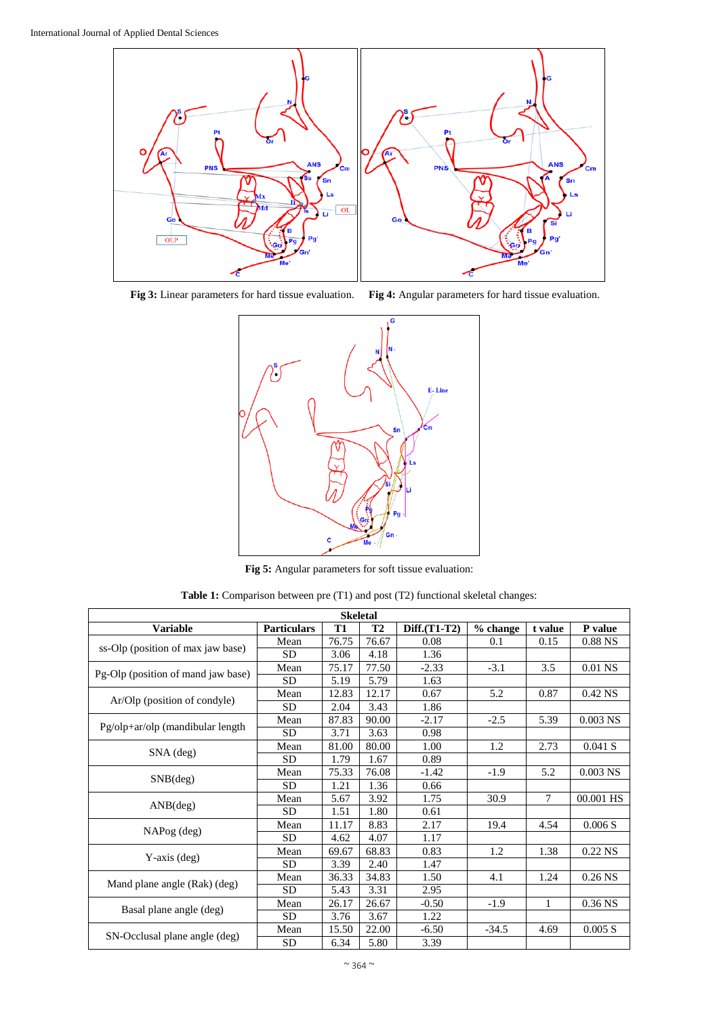

**Fig 3:** Linear parameters for hard tissue evaluation. **Fig 4:** Angular parameters for hard tissue evaluation.



**Fig 5:** Angular parameters for soft tissue evaluation:

**Table 1:** Comparison between pre (T1) and post (T2) functional skeletal changes:

| <b>Skeletal</b>                    |                    |           |           |              |          |              |            |  |  |
|------------------------------------|--------------------|-----------|-----------|--------------|----------|--------------|------------|--|--|
| <b>Variable</b>                    | <b>Particulars</b> | <b>T1</b> | <b>T2</b> | Diff.(T1-T2) | % change | t value      | P value    |  |  |
| ss-Olp (position of max jaw base)  | Mean               | 76.75     | 76.67     | 0.08         | 0.1      | 0.15         | $0.88$ NS  |  |  |
|                                    | <b>SD</b>          | 3.06      | 4.18      | 1.36         |          |              |            |  |  |
| Pg-Olp (position of mand jaw base) | Mean               | 75.17     | 77.50     | $-2.33$      | $-3.1$   | 3.5          | 0.01 NS    |  |  |
|                                    | <b>SD</b>          | 5.19      | 5.79      | 1.63         |          |              |            |  |  |
| Ar/Olp (position of condyle)       | Mean               | 12.83     | 12.17     | 0.67         | 5.2      | 0.87         | 0.42 NS    |  |  |
|                                    | <b>SD</b>          | 2.04      | 3.43      | 1.86         |          |              |            |  |  |
| Pg/olp+ar/olp (mandibular length   | Mean               | 87.83     | 90.00     | $-2.17$      | $-2.5$   | 5.39         | $0.003$ NS |  |  |
|                                    | <b>SD</b>          | 3.71      | 3.63      | 0.98         |          |              |            |  |  |
|                                    | Mean               | 81.00     | 80.00     | 1.00         | 1.2      | 2.73         | 0.041 S    |  |  |
| $SNA$ (deg)                        | <b>SD</b>          | 1.79      | 1.67      | 0.89         |          |              |            |  |  |
| SNB(deg)                           | Mean               | 75.33     | 76.08     | $-1.42$      | $-1.9$   | 5.2          | $0.003$ NS |  |  |
|                                    | <b>SD</b>          | 1.21      | 1.36      | 0.66         |          |              |            |  |  |
| ANB(deg)                           | Mean               | 5.67      | 3.92      | 1.75         | 30.9     | 7            | 00.001 HS  |  |  |
|                                    | <b>SD</b>          | 1.51      | 1.80      | 0.61         |          |              |            |  |  |
| NAPog (deg)                        | Mean               | 11.17     | 8.83      | 2.17         | 19.4     | 4.54         | 0.006 S    |  |  |
|                                    | <b>SD</b>          | 4.62      | 4.07      | 1.17         |          |              |            |  |  |
| $Y$ -axis (deg)                    | Mean               | 69.67     | 68.83     | 0.83         | 1.2      | 1.38         | 0.22 NS    |  |  |
|                                    | <b>SD</b>          | 3.39      | 2.40      | 1.47         |          |              |            |  |  |
| Mand plane angle (Rak) (deg)       | Mean               | 36.33     | 34.83     | 1.50         | 4.1      | 1.24         | $0.26$ NS  |  |  |
|                                    | <b>SD</b>          | 5.43      | 3.31      | 2.95         |          |              |            |  |  |
| Basal plane angle (deg)            | Mean               | 26.17     | 26.67     | $-0.50$      | $-1.9$   | $\mathbf{1}$ | 0.36 NS    |  |  |
|                                    | <b>SD</b>          | 3.76      | 3.67      | 1.22         |          |              |            |  |  |
| SN-Occlusal plane angle (deg)      | Mean               | 15.50     | 22.00     | $-6.50$      | $-34.5$  | 4.69         | 0.005 S    |  |  |
|                                    | SD                 | 6.34      | 5.80      | 3.39         |          |              |            |  |  |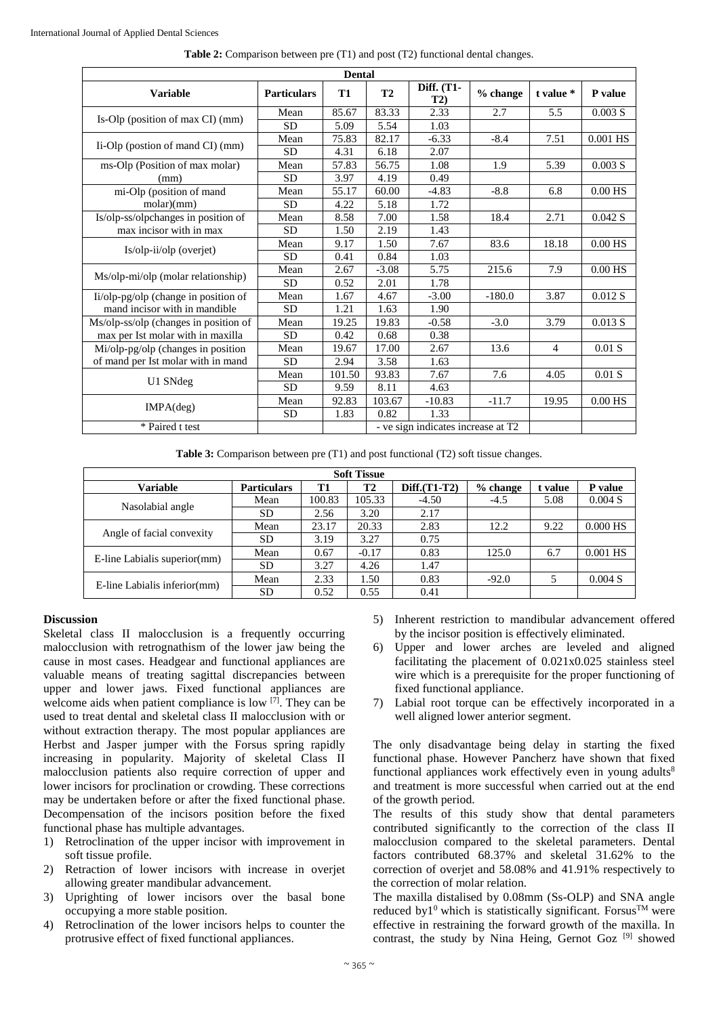| <b>Dental</b>                                                         |                    |           |                                    |                   |          |                |            |  |  |
|-----------------------------------------------------------------------|--------------------|-----------|------------------------------------|-------------------|----------|----------------|------------|--|--|
| <b>Variable</b>                                                       | <b>Particulars</b> | <b>T1</b> | <b>T2</b>                          | Diff. (T1-<br>T2) | % change | t value *      | P value    |  |  |
| Is-Olp (position of max CI) (mm)                                      | Mean               | 85.67     | 83.33                              | 2.33              | 2.7      | 5.5            | 0.003 S    |  |  |
|                                                                       | <b>SD</b>          | 5.09      | 5.54                               | 1.03              |          |                |            |  |  |
| Ii-Olp (postion of mand CI) (mm)                                      | Mean               | 75.83     | 82.17                              | $-6.33$           | $-8.4$   | 7.51           | $0.001$ HS |  |  |
|                                                                       | <b>SD</b>          | 4.31      | 6.18                               | 2.07              |          |                |            |  |  |
| ms-Olp (Position of max molar)                                        | Mean               | 57.83     | 56.75                              | 1.08              | 1.9      | 5.39           | 0.003 S    |  |  |
| (mm)                                                                  | <b>SD</b>          | 3.97      | 4.19                               | 0.49              |          |                |            |  |  |
| mi-Olp (position of mand                                              | Mean               | 55.17     | 60.00                              | $-4.83$           | $-8.8$   | 6.8            | $0.00$ HS  |  |  |
| molar)(mm)                                                            | <b>SD</b>          | 4.22      | 5.18                               | 1.72              |          |                |            |  |  |
| Is/olp-ss/olpchanges in position of                                   | Mean               | 8.58      | 7.00                               | 1.58              | 18.4     | 2.71           | 0.042 S    |  |  |
| max incisor with in max                                               | <b>SD</b>          | 1.50      | 2.19                               | 1.43              |          |                |            |  |  |
| Is/olp-ii/olp (overjet)                                               | Mean               | 9.17      | 1.50                               | 7.67              | 83.6     | 18.18          | $0.00$ HS  |  |  |
|                                                                       | <b>SD</b>          | 0.41      | 0.84                               | 1.03              |          |                |            |  |  |
| Ms/olp-mi/olp (molar relationship)                                    | Mean               | 2.67      | $-3.08$                            | 5.75              | 215.6    | 7.9            | $0.00$ HS  |  |  |
|                                                                       | <b>SD</b>          | 0.52      | 2.01                               | 1.78              |          |                |            |  |  |
| Ii/olp-pg/olp (change in position of<br>mand incisor with in mandible | Mean               | 1.67      | 4.67                               | $-3.00$           | $-180.0$ | 3.87           | 0.012 S    |  |  |
|                                                                       | <b>SD</b>          | 1.21      | 1.63                               | 1.90              |          |                |            |  |  |
| Ms/olp-ss/olp (changes in position of                                 | Mean               | 19.25     | 19.83                              | $-0.58$           | $-3.0$   | 3.79           | 0.013 S    |  |  |
| max per Ist molar with in maxilla                                     | <b>SD</b>          | 0.42      | 0.68                               | 0.38              |          |                |            |  |  |
| Mi/olp-pg/olp (changes in position                                    | Mean               | 19.67     | 17.00                              | 2.67              | 13.6     | $\overline{4}$ | $0.01$ S   |  |  |
| of mand per Ist molar with in mand                                    | <b>SD</b>          | 2.94      | 3.58                               | 1.63              |          |                |            |  |  |
| U1 SNdeg                                                              | Mean               | 101.50    | 93.83                              | 7.67              | 7.6      | 4.05           | $0.01$ S   |  |  |
|                                                                       | <b>SD</b>          | 9.59      | 8.11                               | 4.63              |          |                |            |  |  |
| IMPA(deg)                                                             | Mean               | 92.83     | 103.67                             | $-10.83$          | $-11.7$  | 19.95          | $0.00$ HS  |  |  |
|                                                                       | <b>SD</b>          | 1.83      | 0.82                               | 1.33              |          |                |            |  |  |
| * Paired t test                                                       |                    |           | - ve sign indicates increase at T2 |                   |          |                |            |  |  |

**Table 2:** Comparison between pre (T1) and post (T2) functional dental changes.

**Table 3:** Comparison between pre (T1) and post functional (T2) soft tissue changes.

| <b>Soft Tissue</b>           |                    |        |           |                |            |         |            |  |  |
|------------------------------|--------------------|--------|-----------|----------------|------------|---------|------------|--|--|
| <b>Variable</b>              | <b>Particulars</b> | T1     | <b>T2</b> | $Diff.(T1-T2)$ | $%$ change | t value | P value    |  |  |
| Nasolabial angle             | Mean               | 100.83 | 105.33    | $-4.50$        | $-4.5$     | 5.08    | 0.004 S    |  |  |
|                              | <b>SD</b>          | 2.56   | 3.20      | 2.17           |            |         |            |  |  |
| Angle of facial convexity    | Mean               | 23.17  | 20.33     | 2.83           | 12.2       | 9.22    | $0.000$ HS |  |  |
|                              | <b>SD</b>          | 3.19   | 3.27      | 0.75           |            |         |            |  |  |
| E-line Labialis superior(mm) | Mean               | 0.67   | $-0.17$   | 0.83           | 125.0      | 6.7     | $0.001$ HS |  |  |
|                              | <b>SD</b>          | 3.27   | 4.26      | 1.47           |            |         |            |  |  |
| E-line Labialis inferior(mm) | Mean               | 2.33   | 1.50      | 0.83           | $-92.0$    |         | 0.004 S    |  |  |
|                              | <b>SD</b>          | 0.52   | 0.55      | 0.41           |            |         |            |  |  |

## **Discussion**

Skeletal class II malocclusion is a frequently occurring malocclusion with retrognathism of the lower jaw being the cause in most cases. Headgear and functional appliances are valuable means of treating sagittal discrepancies between upper and lower jaws. Fixed functional appliances are welcome aids when patient compliance is low [7]. They can be used to treat dental and skeletal class II malocclusion with or without extraction therapy. The most popular appliances are Herbst and Jasper jumper with the Forsus spring rapidly increasing in popularity. Majority of skeletal Class II malocclusion patients also require correction of upper and lower incisors for proclination or crowding. These corrections may be undertaken before or after the fixed functional phase. Decompensation of the incisors position before the fixed functional phase has multiple advantages.

- 1) Retroclination of the upper incisor with improvement in soft tissue profile.
- 2) Retraction of lower incisors with increase in overjet allowing greater mandibular advancement.
- 3) Uprighting of lower incisors over the basal bone occupying a more stable position.
- 4) Retroclination of the lower incisors helps to counter the protrusive effect of fixed functional appliances.
- 5) Inherent restriction to mandibular advancement offered by the incisor position is effectively eliminated.
- 6) Upper and lower arches are leveled and aligned facilitating the placement of 0.021x0.025 stainless steel wire which is a prerequisite for the proper functioning of fixed functional appliance.
- 7) Labial root torque can be effectively incorporated in a well aligned lower anterior segment.

The only disadvantage being delay in starting the fixed functional phase. However Pancherz have shown that fixed functional appliances work effectively even in young adults $8$ and treatment is more successful when carried out at the end of the growth period.

The results of this study show that dental parameters contributed significantly to the correction of the class II malocclusion compared to the skeletal parameters. Dental factors contributed 68.37% and skeletal 31.62% to the correction of overjet and 58.08% and 41.91% respectively to the correction of molar relation.

The maxilla distalised by 0.08mm (Ss-OLP) and SNA angle reduced by  $1^0$  which is statistically significant. Forsus<sup>TM</sup> were effective in restraining the forward growth of the maxilla. In contrast, the study by Nina Heing, Gernot Goz<sup>[9]</sup> showed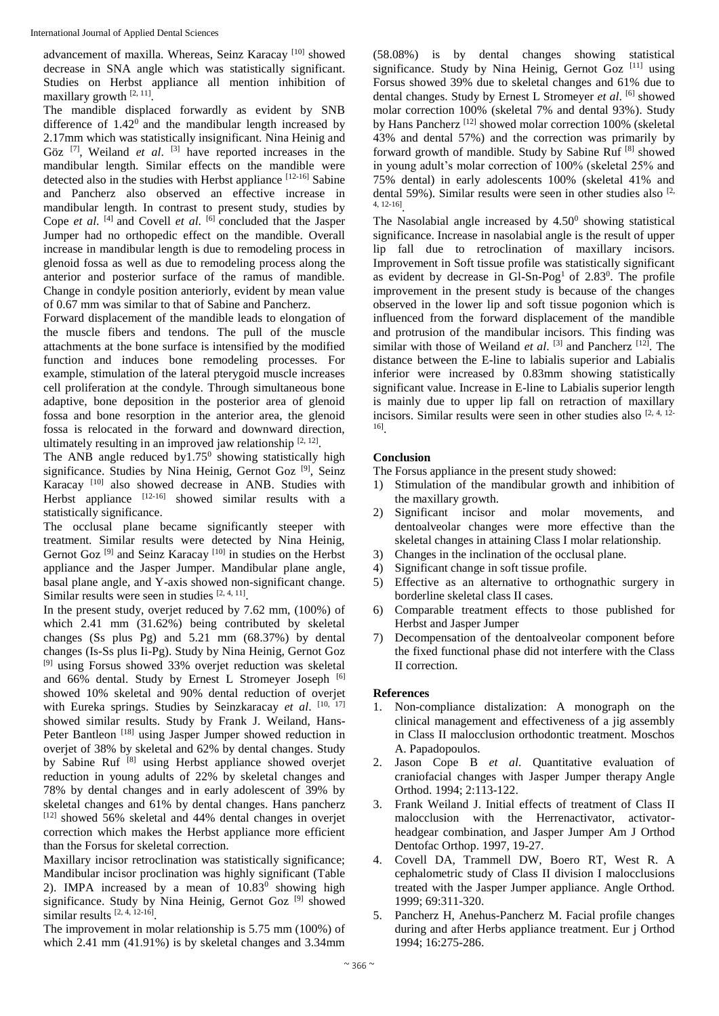advancement of maxilla. Whereas, Seinz Karacay<sup>[10]</sup> showed decrease in SNA angle which was statistically significant. Studies on Herbst appliance all mention inhibition of maxillary growth [2, 11].

The mandible displaced forwardly as evident by SNB difference of  $1.42^{\circ}$  and the mandibular length increased by 2.17mm which was statistically insignificant. Nina Heinig and Göz  $[7]$ , Weiland *et al.*  $[3]$  have reported increases in the mandibular length. Similar effects on the mandible were detected also in the studies with Herbst appliance [12-16] Sabine and Pancherz also observed an effective increase in mandibular length. In contrast to present study, studies by Cope *et al.* <sup>[4]</sup> and Covell *et al.* <sup>[6]</sup> concluded that the Jasper Jumper had no orthopedic effect on the mandible. Overall increase in mandibular length is due to remodeling process in glenoid fossa as well as due to remodeling process along the anterior and posterior surface of the ramus of mandible. Change in condyle position anteriorly, evident by mean value of 0.67 mm was similar to that of Sabine and Pancherz.

Forward displacement of the mandible leads to elongation of the muscle fibers and tendons. The pull of the muscle attachments at the bone surface is intensified by the modified function and induces bone remodeling processes. For example, stimulation of the lateral pterygoid muscle increases cell proliferation at the condyle. Through simultaneous bone adaptive, bone deposition in the posterior area of glenoid fossa and bone resorption in the anterior area, the glenoid fossa is relocated in the forward and downward direction, ultimately resulting in an improved jaw relationship  $[2, 12]$ .

The ANB angle reduced by  $1.75^{\circ}$  showing statistically high significance. Studies by Nina Heinig, Gernot Goz<sup>[9]</sup>, Seinz Karacay<sup>[10]</sup> also showed decrease in ANB. Studies with Herbst appliance  $[12-16]$  showed similar results with a statistically significance.

The occlusal plane became significantly steeper with treatment. Similar results were detected by Nina Heinig, Gernot Goz<sup>[9]</sup> and Seinz Karacay<sup>[10]</sup> in studies on the Herbst appliance and the Jasper Jumper. Mandibular plane angle, basal plane angle, and Y-axis showed non-significant change. Similar results were seen in studies  $[2, 4, 11]$ .

In the present study, overjet reduced by 7.62 mm, (100%) of which 2.41 mm (31.62%) being contributed by skeletal changes (Ss plus Pg) and 5.21 mm (68.37%) by dental changes (Is-Ss plus Ii-Pg). Study by Nina Heinig, Gernot Goz [9] using Forsus showed 33% overjet reduction was skeletal and 66% dental. Study by Ernest L Stromeyer Joseph [6] showed 10% skeletal and 90% dental reduction of overjet with Eureka springs. Studies by Seinzkaracay et al. [10, 17] showed similar results. Study by Frank J. Weiland, Hans-Peter Bantleon<sup>[18]</sup> using Jasper Jumper showed reduction in overjet of 38% by skeletal and 62% by dental changes. Study by Sabine Ruf [8] using Herbst appliance showed overjet reduction in young adults of 22% by skeletal changes and 78% by dental changes and in early adolescent of 39% by skeletal changes and 61% by dental changes. Hans pancherz [12] showed 56% skeletal and 44% dental changes in overjet correction which makes the Herbst appliance more efficient than the Forsus for skeletal correction.

Maxillary incisor retroclination was statistically significance; Mandibular incisor proclination was highly significant (Table 2). IMPA increased by a mean of  $10.83^{\circ}$  showing high significance. Study by Nina Heinig, Gernot Goz<sup>[9]</sup> showed similar results [2, 4, 12-16].

The improvement in molar relationship is 5.75 mm (100%) of which 2.41 mm (41.91%) is by skeletal changes and 3.34mm

(58.08%) is by dental changes showing statistical significance. Study by Nina Heinig, Gernot Goz [11] using Forsus showed 39% due to skeletal changes and 61% due to dental changes. Study by Ernest L Stromeyer *et al*. [6] showed molar correction 100% (skeletal 7% and dental 93%). Study by Hans Pancherz<sup>[12]</sup> showed molar correction 100% (skeletal 43% and dental 57%) and the correction was primarily by forward growth of mandible. Study by Sabine Ruf<sup>[8]</sup> showed in young adult's molar correction of 100% (skeletal 25% and 75% dental) in early adolescents 100% (skeletal 41% and dental 59%). Similar results were seen in other studies also  $[2, 1]$ 4, 12-16] .

The Nasolabial angle increased by  $4.50<sup>0</sup>$  showing statistical significance. Increase in nasolabial angle is the result of upper lip fall due to retroclination of maxillary incisors. Improvement in Soft tissue profile was statistically significant as evident by decrease in Gl-Sn-Pog<sup>1</sup> of  $2.83^0$ . The profile improvement in the present study is because of the changes observed in the lower lip and soft tissue pogonion which is influenced from the forward displacement of the mandible and protrusion of the mandibular incisors. This finding was similar with those of Weiland *et al*. <sup>[3]</sup> and Pancherz <sup>[12]</sup>. The distance between the E-line to labialis superior and Labialis inferior were increased by 0.83mm showing statistically significant value. Increase in E-line to Labialis superior length is mainly due to upper lip fall on retraction of maxillary incisors. Similar results were seen in other studies also  $[2, 4, 12]$ 16] .

# **Conclusion**

The Forsus appliance in the present study showed:

- 1) Stimulation of the mandibular growth and inhibition of the maxillary growth.
- 2) Significant incisor and molar movements, and dentoalveolar changes were more effective than the skeletal changes in attaining Class I molar relationship.
- 3) Changes in the inclination of the occlusal plane.
- 4) Significant change in soft tissue profile.
- 5) Effective as an alternative to orthognathic surgery in borderline skeletal class II cases.
- 6) Comparable treatment effects to those published for Herbst and Jasper Jumper
- 7) Decompensation of the dentoalveolar component before the fixed functional phase did not interfere with the Class II correction.

## **References**

- 1. Non-compliance distalization: A monograph on the clinical management and effectiveness of a jig assembly in Class II malocclusion orthodontic treatment. Moschos A. Papadopoulos.
- 2. Jason Cope B *et al*. Quantitative evaluation of craniofacial changes with Jasper Jumper therapy Angle Orthod. 1994; 2:113-122.
- 3. Frank Weiland J. Initial effects of treatment of Class II malocclusion with the Herrenactivator, activatorheadgear combination, and Jasper Jumper Am J Orthod Dentofac Orthop. 1997, 19-27.
- 4. Covell DA, Trammell DW, Boero RT, West R. A cephalometric study of Class II division I malocclusions treated with the Jasper Jumper appliance. Angle Orthod. 1999; 69:311-320.
- 5. Pancherz H, Anehus-Pancherz M. Facial profile changes during and after Herbs appliance treatment. Eur j Orthod 1994; 16:275-286.